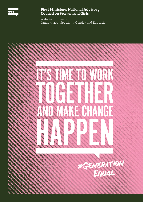

#### **First Minister's National Advisory Council on Women and Girls**

Website Summary January 2019 Spotlight: Gender and Education

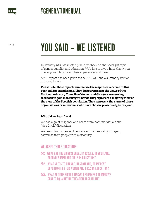

# YOU SAID – WE LISTENED

In January 2019, we invited public feedback on the Spotlight topic of gender equality and education. We'd like to give a huge thank you to everyone who shared their experiences and ideas.

A full report has been given to the NACWG, and a summary version is shared below.

**Please note: these reports summarise the responses received to this open call for submissions. They do not represent the views of the National Advisory Council on Women and Girls (we are seeking feedback to gain more insight) nor do they represent a majority view or the view of the Scottish population. They represent the views of those organisations or individuals who have chosen, proactively, to respond.**

#### **Who did we hear from?**

We had a great response and heard from both individuals and 'Wee Circle' discussions.

We heard from a range of genders, ethnicities, religions, ages, as well as from people with a disability.

#### WE ASKED THREE QUESTIONS:

- Q1. WHAT ARE THE BIGGEST EQUALITY ISSUES, IN SCOTLAND, AROUND WOMEN AND GIRLS IN EDUCATION?
- Q2. WHAT NEEDS TO CHANGE, IN SCOTLAND, TO IMPROVE OPPORTUNITIES FOR WOMEN AND GIRLS IN EDUCATION?
- Q3. WHAT ACTIONS SHOULD NACWG RECOMMEND TO IMPROVE GENDER EQUALITY IN EDUCATION IN SCOTLAND?

2 / 13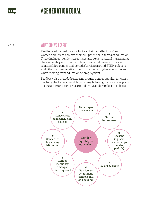

3 / 13

#### WHAT DID WE LEARN?

Feedback addressed various factors that can affect girls' and women's ability to achieve their full potential in terms of education. These included: gender stereotypes and sexism; sexual harassment; the availability and quality of lessons around issues such as sex, relationships, gender and periods; barriers around STEM subjects; and other barriers to attainments in schools, higher education and when moving from education to employment.

Feedback also included: concerns around gender equality amongst teaching staff; concerns at boys falling behind girls in some aspects of education; and concerns around transgender inclusion policies.

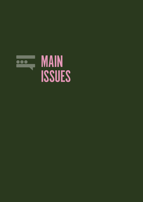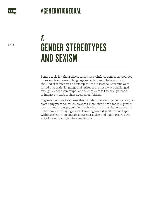

5 / 13

## GENDER STEREOTYPES AND SEXISM 1.

Some people felt that schools sometimes reinforce gender stereotypes, for example in terms of language, expectations of behaviour and the kind of references and examples used in lessons. Concerns were raised that sexist language and attitudes are not always challenged enough. Gender stereotypes and sexism were felt to have potential to impact on: subject choices, career ambitions.

Suggested actions to address this including: tackling gender stereotypes from early years education onwards; more diverse role models; greater care around language; building a school culture that challenges sexist behaviour; encouraging critical thinking around gender stereotypes within society; more impartial careers advice; and making sure boys are educated about gender equality too.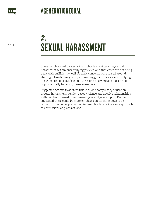

SEXUAL HARASSMENT 2.

Some people raised concerns that schools aren't tackling sexual harassment within anti-bullying policies, and that cases are not being dealt with sufficiently well. Specific concerns were raised around: sharing intimate images; boys harassing girls in classes; and bullying of a gendered or sexualised nature. Concerns were also raised about pupils sexually harassing female teachers.

Suggested actions to address this included compulsory education around harassment, gender-based violence and abusive relationships, with teachers trained to recognise signs and give support. People suggested there could be more emphasis on teaching boys to be respectful. Some people wanted to see schools take the same approach to accusations as places of work.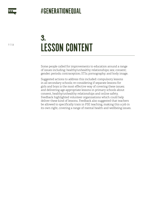

7 / 13

## LESSON CONTENT 3.

Some people called for improvements to education around a range of issues including: healthy/unhealthy relationships; sex; consent; gender; periods; contraception; STIs; pornography; and body image.

Suggested actions to address this included: compulsory lessons in all secondary schools; re-considering if separate lessons for girls and boys is the most effective way of covering these issues; and delivering age-appropriate lessons in primary schools about consent, healthy/unhealthy relationships and online safety. Feedback highlighted volunteer organisations which could help deliver these kind of lessons. Feedback also suggested that teachers be allowed to specifically train in PSE teaching, making this a job in its own right, covering a range of mental health and wellbeing issues.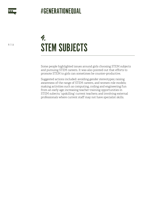

8 / 13

## STEM SUBJECTS 4.

Some people highlighted issues around girls choosing STEM subjects and pursuing STEM careers. It was also pointed out that efforts to promote STEM to girls can sometimes be counter-productive.

Suggested actions included: avoiding gender stereotypes; raising awareness of the range of STEM careers, and women role models; making activities such as computing, coding and engineering fun from an early age; increasing teacher training opportunities in STEM subects; 'upskilling' current teachers; and involving external professionals where current staff may not have specialist skills.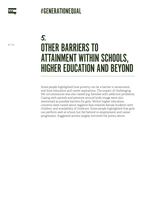

9 / 13

## OTHER BARRIERS TO ATTAINMENT WITHIN SCHOOLS, HIGHER EDUCATION AND BEYOND 5.

Some people highlighted how poverty can be a barrier to attainment, and limit education and career aspirations. The impact of challenging life circumstances was also raised (e.g. families with addiction problems). Coping with periods and pressure around body image were also mentioned as possible barriers for girls. Within higher education, concerns were raised about negative bias towards female students with children, and availability of childcare. Some people highlighted that girls can perform well at school, but fall behind in employment and career progression. Suggested actions largely mirrored the points above.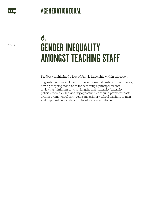

10 / 13

## GENDER INEQUALITY AMONGST TEACHING STAFF 6.

Feedback highlighted a lack of female leadership within education.

Suggested actions included: CPD events around leadership confidence; having 'stepping stone' roles for becoming a principal teacher; reviewing minimum contract lengths and maternity/paternity policies; more flexible working opportunities around promoted posts; greater promotion of early years and primary school teaching to men; and improved gender data on the education workforce.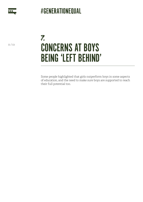

11 / 13

## CONCERNS AT BOYS BEING 'LEFT BEHIND' 7.

Some people highlighted that girls outperform boys in some aspects of education, and the need to make sure boys are supported to reach their full potential too.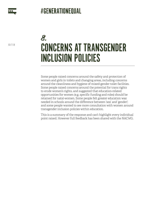

12 / 13

## CONCERNS AT TRANSGENDER INCLUSION POLICIES 8.

Some people raised concerns around the safety and protection of women and girls in toilets and changing areas, including concerns around the cleanliness and hygiene of mixed-gender toilet facilities. Some people raised concerns around the potential for trans rights to erode women's rights, and suggested that education-related opportunities for women (e.g. specific funding and roles) should be retained for natal-women. Some people felt greater education was needed in schools around the difference between 'sex' and 'gender'; and some people wanted to see more consultation with women around transgender inclusion policies within education.

This is a summary of the response and can't highlight every individual point raised. However full feedback has been shared with the NACWG.